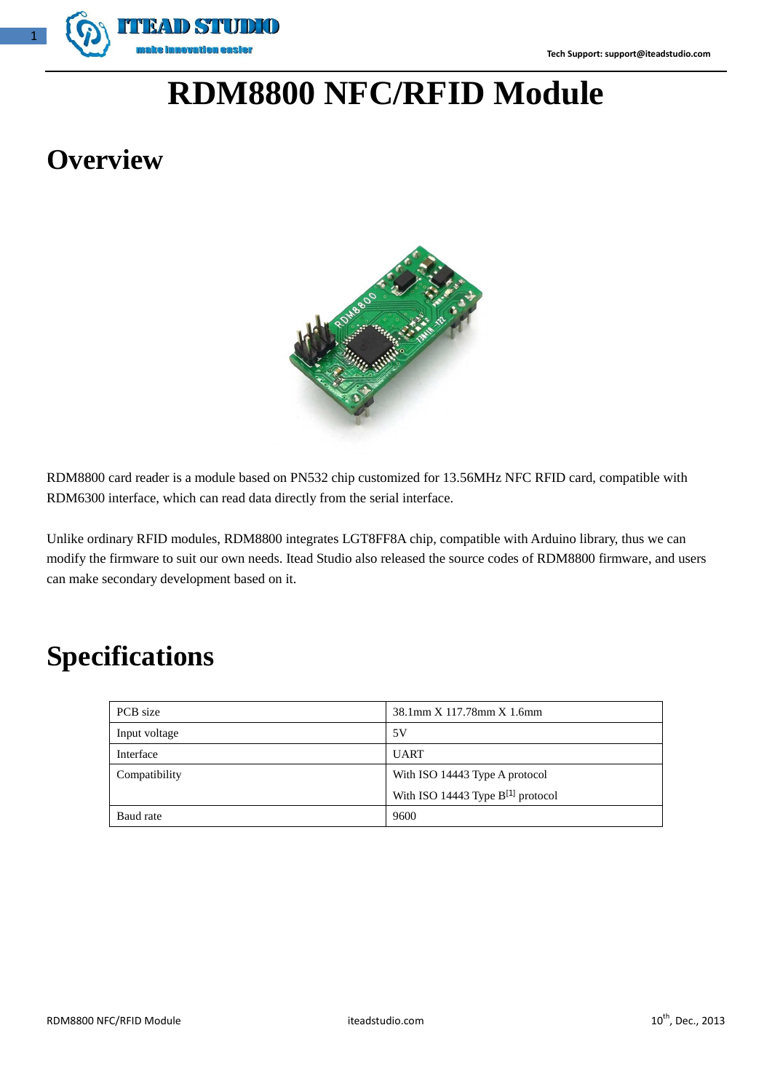

# **RDM8800 NFC/RFID Module**

# **Overview**



RDM8800 card reader is a module based on PN532 chip customized for 13.56MHz NFC RFID card, compatible with RDM6300 interface, which can read data directly from the serial interface.

Unlike ordinary RFID modules, RDM8800 integrates LGT8FF8A chip, compatible with Arduino library, thus we can modify the firmware to suit our own needs. Itead Studio also released the source codes of RDM8800 firmware, and users can make secondary development based on it.

# **Specifications**

| PCB size      | 38.1mm X 117.78mm X 1.6mm              |  |
|---------------|----------------------------------------|--|
| Input voltage | 5V                                     |  |
| Interface     | <b>UART</b>                            |  |
| Compatibility | With ISO 14443 Type A protocol         |  |
|               | With ISO 14443 Type $B^{[1]}$ protocol |  |
| Baud rate     | 9600                                   |  |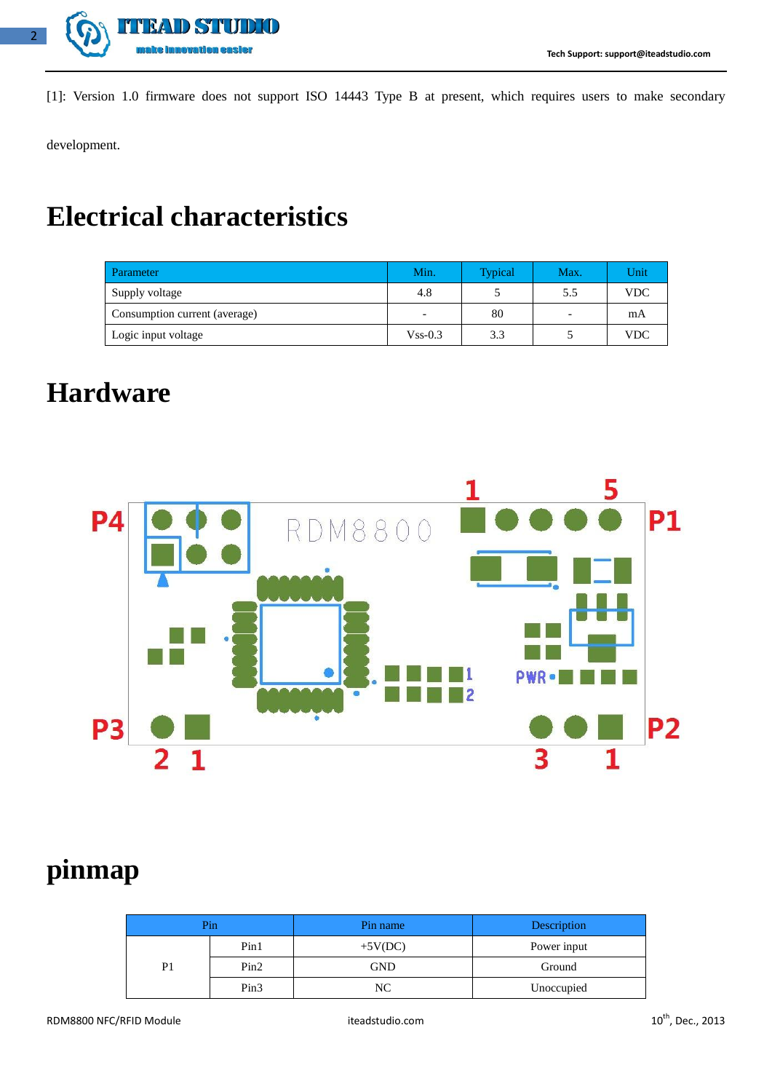

[1]: Version 1.0 firmware does not support ISO 14443 Type B at present, which requires users to make secondary

development.

## **Electrical characteristics**

| Parameter                     | Min.       | <b>Typical</b> | Max. | Unit       |
|-------------------------------|------------|----------------|------|------------|
| Supply voltage                | 4.8        |                | 5.5  | <b>VDC</b> |
| Consumption current (average) |            | 80             |      | mA         |
| Logic input voltage           | $V$ ss-0.3 | 3.3            |      | VDC        |

#### **Hardware**



## **pinmap**

|    | Pin  | Pin name   | Description |
|----|------|------------|-------------|
|    | Pin1 | $+5V(DC)$  | Power input |
| P1 | Pin2 | <b>GND</b> | Ground      |
|    | Pin3 | NC         | Unoccupied  |